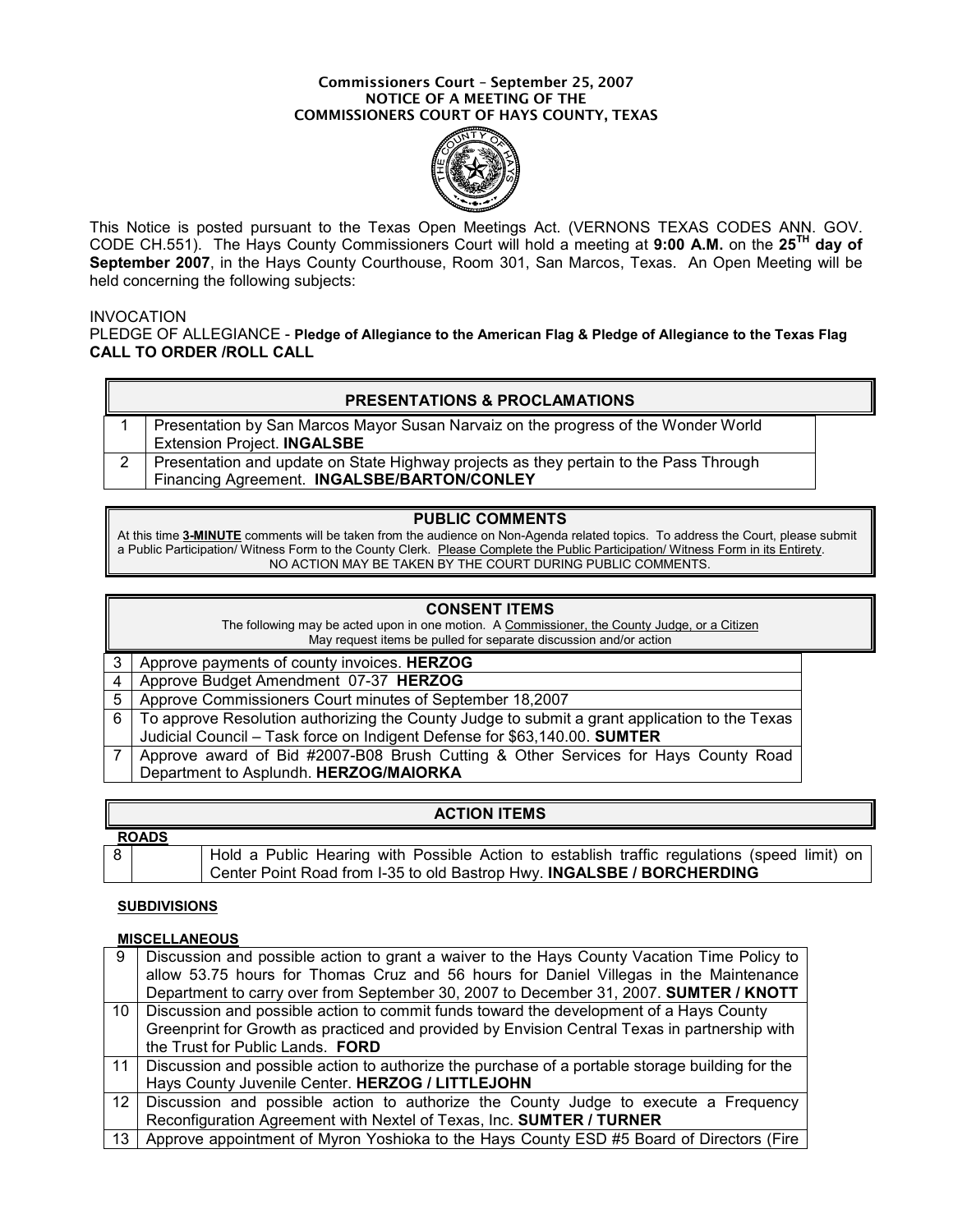#### Commissioners Court – September 25, 2007 NOTICE OF A MEETING OF THE COMMISSIONERS COURT OF HAYS COUNTY, TEXAS



This Notice is posted pursuant to the Texas Open Meetings Act. (VERNONS TEXAS CODES ANN. GOV. CODE CH.551). The Hays County Commissioners Court will hold a meeting at 9:00 A.M. on the 25TH day of September 2007, in the Hays County Courthouse, Room 301, San Marcos, Texas. An Open Meeting will be held concerning the following subjects:

### **INVOCATION**

PLEDGE OF ALLEGIANCE - Pledge of Allegiance to the American Flag & Pledge of Allegiance to the Texas Flag CALL TO ORDER /ROLL CALL

| <b>PRESENTATIONS &amp; PROCLAMATIONS</b> |  |
|------------------------------------------|--|
|------------------------------------------|--|

| 1   Presentation by San Marcos Mayor Susan Narvaiz on the progress of the Wonder World    |
|-------------------------------------------------------------------------------------------|
| <b>Extension Project. INGALSBE</b>                                                        |
| 2   Presentation and update on State Highway projects as they pertain to the Pass Through |
| Financing Agreement. INGALSBE/BARTON/CONLEY                                               |

### PUBLIC COMMENTS

At this time 3-MINUTE comments will be taken from the audience on Non-Agenda related topics. To address the Court, please submit a Public Participation/ Witness Form to the County Clerk. Please Complete the Public Participation/ Witness Form in its Entirety. NO ACTION MAY BE TAKEN BY THE COURT DURING PUBLIC COMMENTS.

# CONSENT ITEMS

| The following may be acted upon in one motion. A Commissioner, the County Judge, or a Citizen |
|-----------------------------------------------------------------------------------------------|
| May request items be pulled for separate discussion and/or action                             |
| 3 Approve payments of county invoices. HERZOG                                                 |
| $\lambda$ , Approve Dudget Approximation OZ 07 JUFDZOO                                        |

| 4   Approve Budget Amendment 07-37 HERZOG                                                         |
|---------------------------------------------------------------------------------------------------|
| 5   Approve Commissioners Court minutes of September 18,2007                                      |
| 6   To approve Resolution authorizing the County Judge to submit a grant application to the Texas |
| Judicial Council – Task force on Indigent Defense for \$63,140.00. SUMTER                         |
| Approve award of Bid #2007-B08 Brush Cutting & Other Services for Hays County Road                |
| Department to Asplundh. HERZOG/MAIORKA                                                            |

| <b>ACTION ITEMS</b> |                                                                                              |  |  |  |  |  |  |  |
|---------------------|----------------------------------------------------------------------------------------------|--|--|--|--|--|--|--|
| <b>ROADS</b>        |                                                                                              |  |  |  |  |  |  |  |
| 8                   | Hold a Public Hearing with Possible Action to establish traffic regulations (speed limit) on |  |  |  |  |  |  |  |
|                     | Center Point Road from I-35 to old Bastrop Hwy. INGALSBE / BORCHERDING                       |  |  |  |  |  |  |  |

#### **SUBDIVISIONS**

#### **MISCELLANEOUS**

| -9              | Discussion and possible action to grant a waiver to the Hays County Vacation Time Policy to<br>allow 53.75 hours for Thomas Cruz and 56 hours for Daniel Villegas in the Maintenance<br>Department to carry over from September 30, 2007 to December 31, 2007. SUMTER / KNOTT |
|-----------------|-------------------------------------------------------------------------------------------------------------------------------------------------------------------------------------------------------------------------------------------------------------------------------|
|                 |                                                                                                                                                                                                                                                                               |
| 10 <sup>1</sup> | Discussion and possible action to commit funds toward the development of a Hays County                                                                                                                                                                                        |
|                 | Greenprint for Growth as practiced and provided by Envision Central Texas in partnership with                                                                                                                                                                                 |
|                 | the Trust for Public Lands. FORD                                                                                                                                                                                                                                              |
|                 | 11 Discussion and possible action to authorize the purchase of a portable storage building for the                                                                                                                                                                            |
|                 | Hays County Juvenile Center. HERZOG / LITTLEJOHN                                                                                                                                                                                                                              |
| 12 <sup>7</sup> | Discussion and possible action to authorize the County Judge to execute a Frequency                                                                                                                                                                                           |
|                 | Reconfiguration Agreement with Nextel of Texas, Inc. SUMTER / TURNER                                                                                                                                                                                                          |
| 13              | Approve appointment of Myron Yoshioka to the Hays County ESD #5 Board of Directors (Fire                                                                                                                                                                                      |